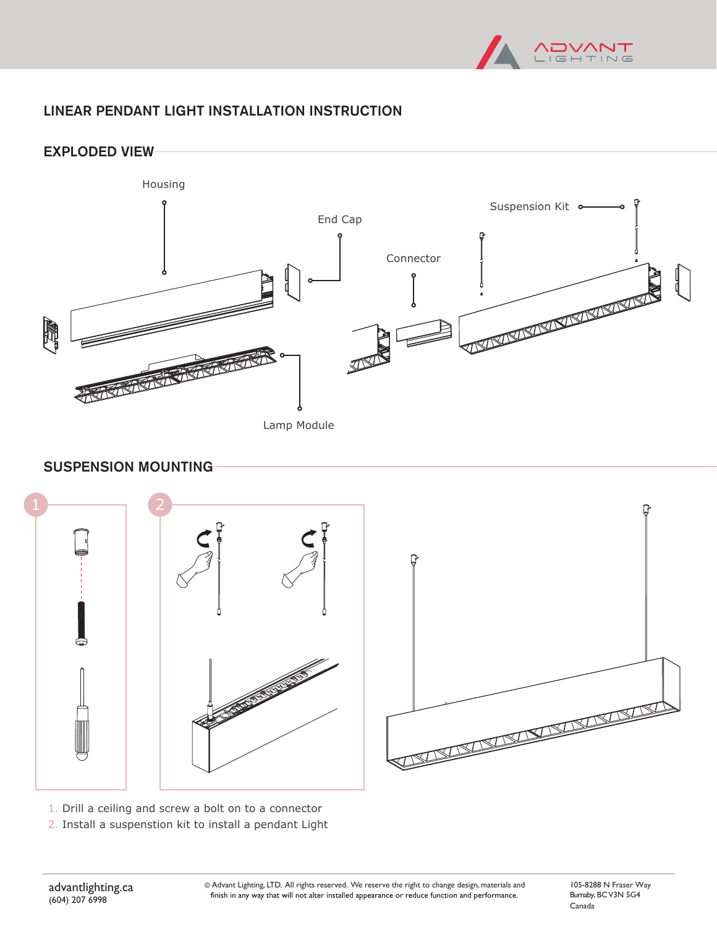

# LINEAR PENDANT LIGHT INSTALLATION INSTRUCTION

EXPLODED VIEW



#### SUSPENSION MOUNTING



1. Drill a ceiling and screw a bolt on to a connector

2. Install a suspenstion kit to install a pendant Light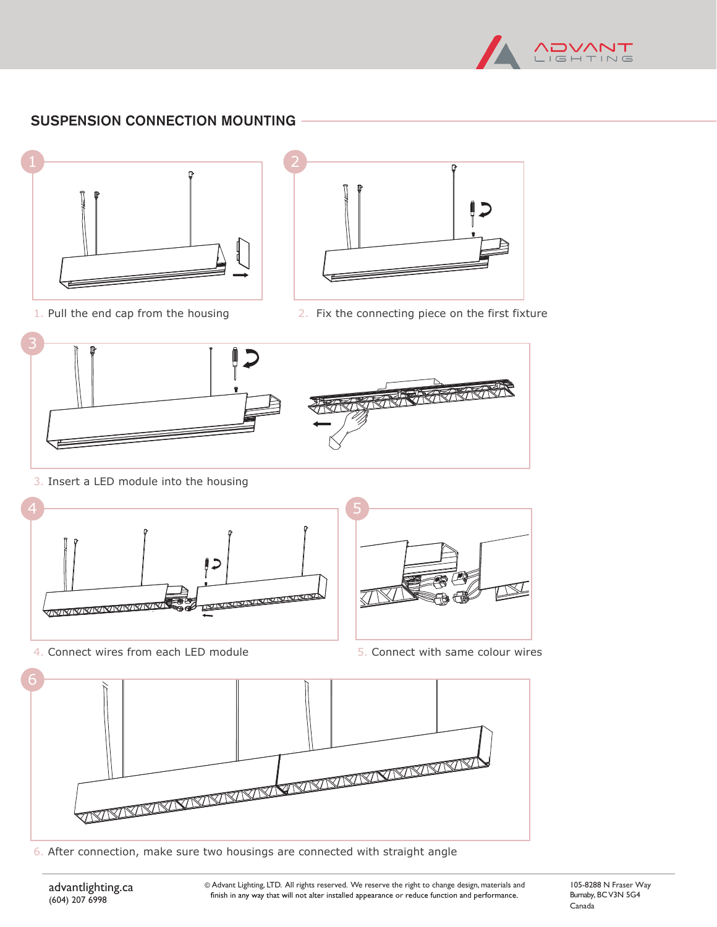

### SUSPENSION CONNECTION MOUNTING



1. Pull the end cap from the housing



2. Fix the connecting piece on the first fixture



3. Insert a LED module into the housing



4. Connect wires from each LED module

5. Connect with same colour wires



6. After connection, make sure two housings are connected with straight angle